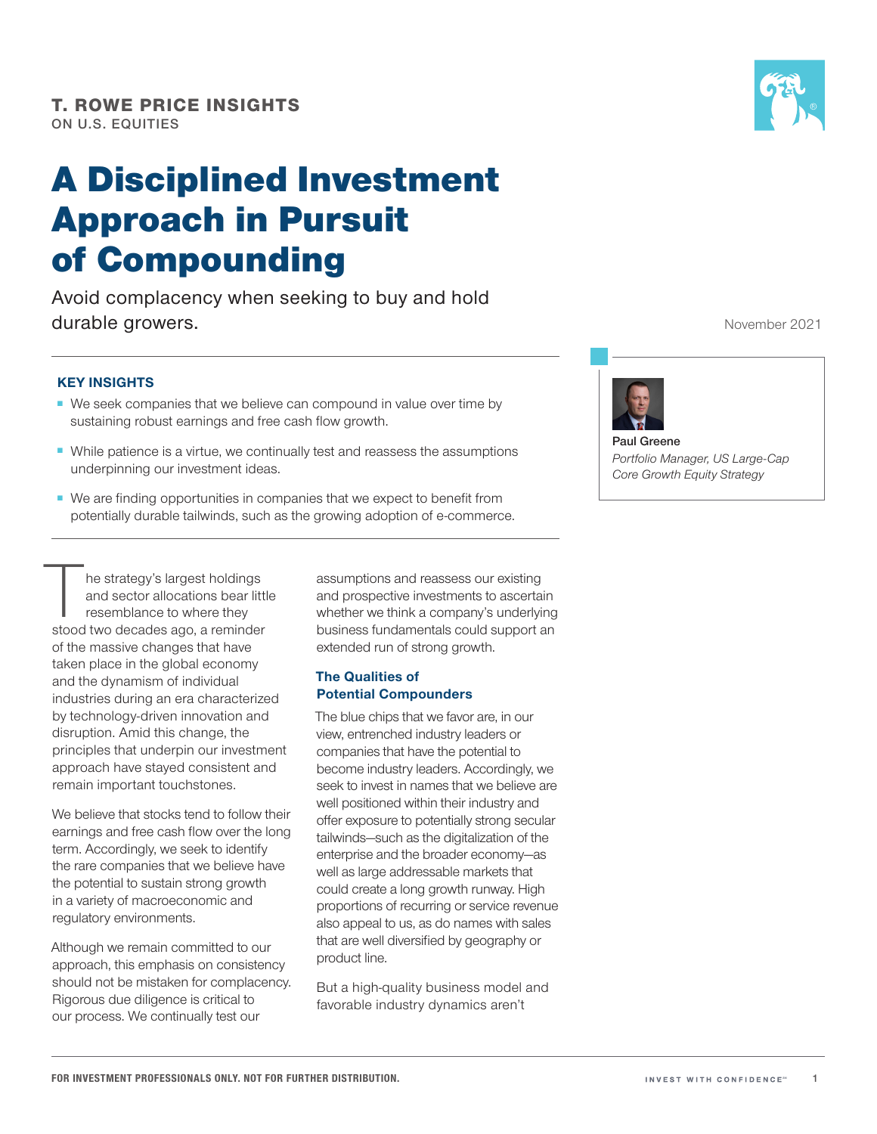# A Disciplined Investment Approach in Pursuit of Compounding

Avoid complacency when seeking to buy and hold durable growers.

### **KEY INSIGHTS**

- We seek companies that we believe can compound in value over time by sustaining robust earnings and free cash flow growth.
- While patience is a virtue, we continually test and reassess the assumptions underpinning our investment ideas.
- We are finding opportunities in companies that we expect to benefit from potentially durable tailwinds, such as the growing adoption of e-commerce.

The strategy's largest holdings<br>and sector allocations bear litt<br>resemblance to where they<br>stood two decades ago, a reminder and sector allocations bear little resemblance to where they stood two decades ago, a reminder of the massive changes that have taken place in the global economy and the dynamism of individual industries during an era characterized by technology‑driven innovation and disruption. Amid this change, the principles that underpin our investment approach have stayed consistent and remain important touchstones.

We believe that stocks tend to follow their earnings and free cash flow over the long term. Accordingly, we seek to identify the rare companies that we believe have the potential to sustain strong growth in a variety of macroeconomic and regulatory environments.

Although we remain committed to our approach, this emphasis on consistency should not be mistaken for complacency. Rigorous due diligence is critical to our process. We continually test our

assumptions and reassess our existing and prospective investments to ascertain whether we think a company's underlying business fundamentals could support an extended run of strong growth.

#### **The Qualities of Potential Compounders**

The blue chips that we favor are, in our view, entrenched industry leaders or companies that have the potential to become industry leaders. Accordingly, we seek to invest in names that we believe are well positioned within their industry and offer exposure to potentially strong secular tailwinds—such as the digitalization of the enterprise and the broader economy—as well as large addressable markets that could create a long growth runway. High proportions of recurring or service revenue also appeal to us, as do names with sales that are well diversified by geography or product line.

But a high‑quality business model and favorable industry dynamics aren't

November 2021



**Paul Greene** *Portfolio Manager, US Large‑Cap Core Growth Equity Strategy*

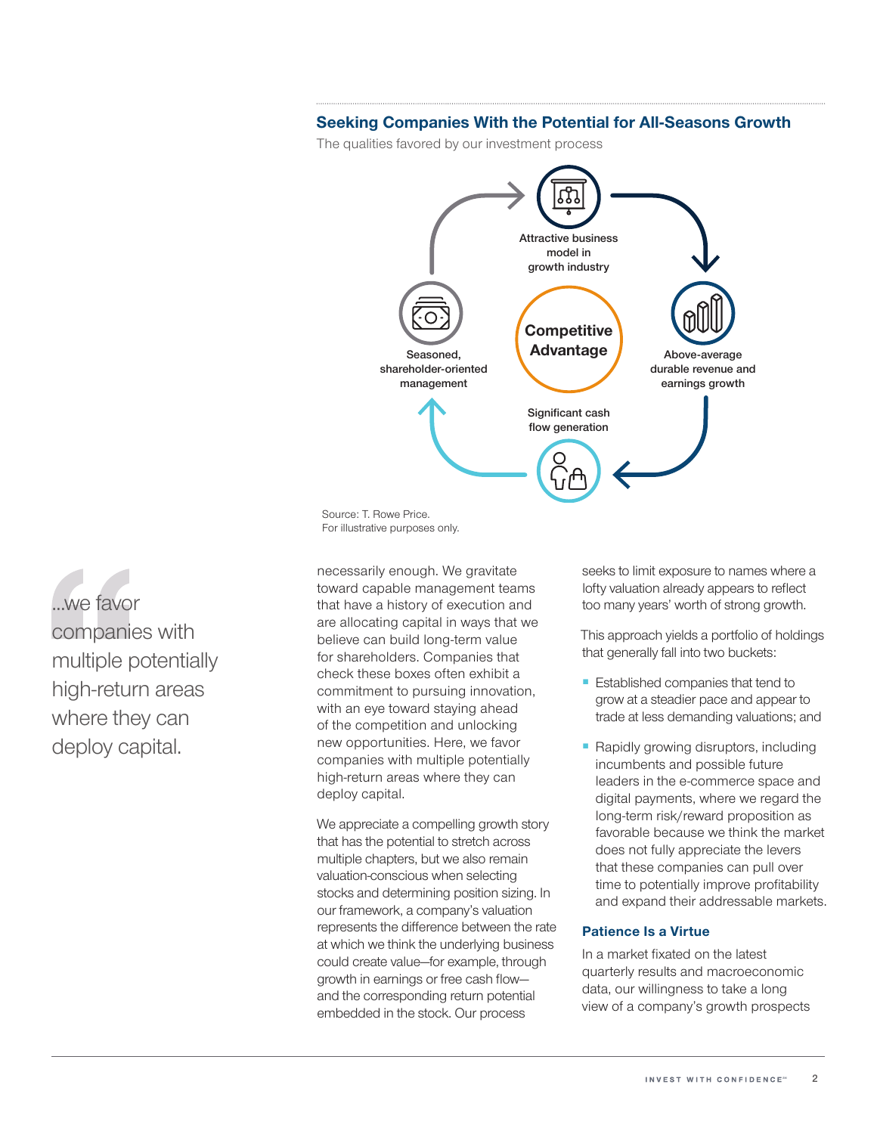#### **Seeking Companies With the Potential for All‑Seasons Growth**

The qualities favored by our investment process



For illustrative purposes only.

...we favor companies with multiple potentially high-return areas where they can deploy capital.

necessarily enough. We gravitate toward capable management teams that have a history of execution and are allocating capital in ways that we believe can build long-term value for shareholders. Companies that check these boxes often exhibit a commitment to pursuing innovation, with an eye toward staying ahead of the competition and unlocking new opportunities. Here, we favor companies with multiple potentially high-return areas where they can deploy capital.

We appreciate a compelling growth story that has the potential to stretch across multiple chapters, but we also remain valuation‑conscious when selecting stocks and determining position sizing. In our framework, a company's valuation represents the difference between the rate at which we think the underlying business could create value—for example, through growth in earnings or free cash flow and the corresponding return potential embedded in the stock. Our process

seeks to limit exposure to names where a lofty valuation already appears to reflect too many years' worth of strong growth.

This approach yields a portfolio of holdings that generally fall into two buckets:

- Established companies that tend to grow at a steadier pace and appear to trade at less demanding valuations; and
- Rapidly growing disruptors, including incumbents and possible future leaders in the e‑commerce space and digital payments, where we regard the long-term risk/reward proposition as favorable because we think the market does not fully appreciate the levers that these companies can pull over time to potentially improve profitability and expand their addressable markets.

#### **Patience Is a Virtue**

In a market fixated on the latest quarterly results and macroeconomic data, our willingness to take a long view of a company's growth prospects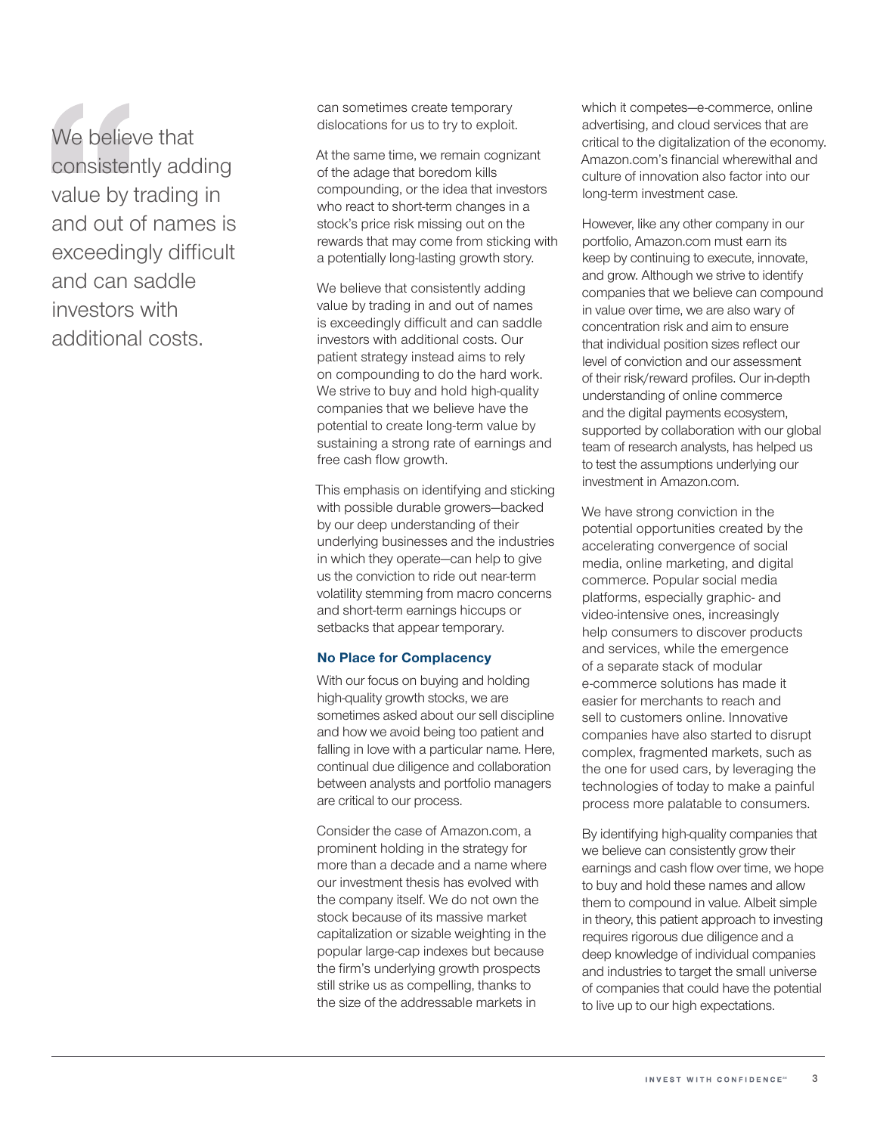We believe that consistently adding value by trading in and out of names is exceedingly difficult and can saddle investors with additional costs.

can sometimes create temporary dislocations for us to try to exploit.

At the same time, we remain cognizant of the adage that boredom kills compounding, or the idea that investors who react to short-term changes in a stock's price risk missing out on the rewards that may come from sticking with a potentially long-lasting growth story.

We believe that consistently adding value by trading in and out of names is exceedingly difficult and can saddle investors with additional costs. Our patient strategy instead aims to rely on compounding to do the hard work. We strive to buy and hold high-quality companies that we believe have the potential to create long-term value by sustaining a strong rate of earnings and free cash flow growth.

This emphasis on identifying and sticking with possible durable growers—backed by our deep understanding of their underlying businesses and the industries in which they operate—can help to give us the conviction to ride out near-term volatility stemming from macro concerns and short‑term earnings hiccups or setbacks that appear temporary.

#### **No Place for Complacency**

With our focus on buying and holding high-quality growth stocks, we are sometimes asked about our sell discipline and how we avoid being too patient and falling in love with a particular name. Here, continual due diligence and collaboration between analysts and portfolio managers are critical to our process.

Consider the case of Amazon.com, a prominent holding in the strategy for more than a decade and a name where our investment thesis has evolved with the company itself. We do not own the stock because of its massive market capitalization or sizable weighting in the popular large‑cap indexes but because the firm's underlying growth prospects still strike us as compelling, thanks to the size of the addressable markets in

which it competes—e‑commerce, online advertising, and cloud services that are critical to the digitalization of the economy. Amazon.com's financial wherewithal and culture of innovation also factor into our long‑term investment case.

However, like any other company in our portfolio, Amazon.com must earn its keep by continuing to execute, innovate, and grow. Although we strive to identify companies that we believe can compound in value over time, we are also wary of concentration risk and aim to ensure that individual position sizes reflect our level of conviction and our assessment of their risk/reward profiles. Our in‑depth understanding of online commerce and the digital payments ecosystem, supported by collaboration with our global team of research analysts, has helped us to test the assumptions underlying our investment in Amazon.com.

We have strong conviction in the potential opportunities created by the accelerating convergence of social media, online marketing, and digital commerce. Popular social media platforms, especially graphic‑ and video‑intensive ones, increasingly help consumers to discover products and services, while the emergence of a separate stack of modular e-commerce solutions has made it easier for merchants to reach and sell to customers online. Innovative companies have also started to disrupt complex, fragmented markets, such as the one for used cars, by leveraging the technologies of today to make a painful process more palatable to consumers.

By identifying high-quality companies that we believe can consistently grow their earnings and cash flow over time, we hope to buy and hold these names and allow them to compound in value. Albeit simple in theory, this patient approach to investing requires rigorous due diligence and a deep knowledge of individual companies and industries to target the small universe of companies that could have the potential to live up to our high expectations.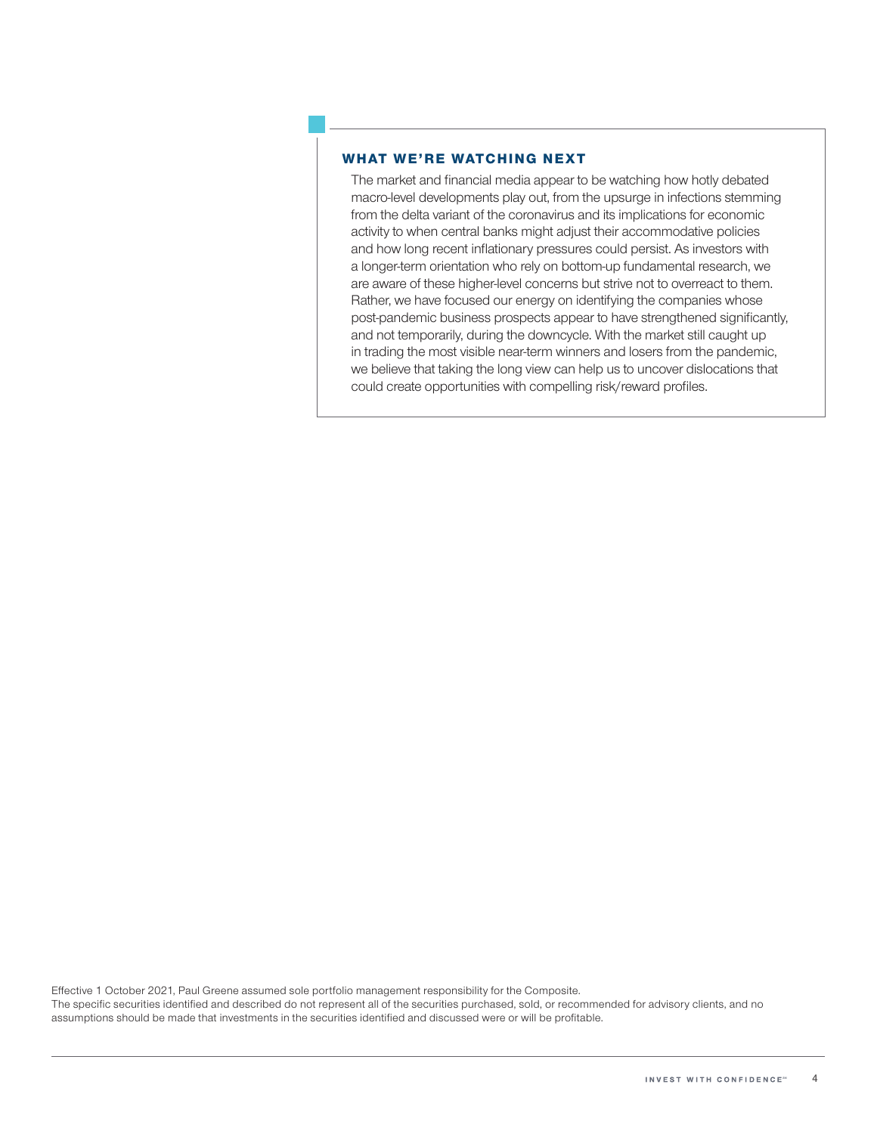#### **WHAT WE'RE WATCHING NEXT**

The market and financial media appear to be watching how hotly debated macro-level developments play out, from the upsurge in infections stemming from the delta variant of the coronavirus and its implications for economic activity to when central banks might adjust their accommodative policies and how long recent inflationary pressures could persist. As investors with a longer-term orientation who rely on bottom-up fundamental research, we are aware of these higher-level concerns but strive not to overreact to them. Rather, we have focused our energy on identifying the companies whose post-pandemic business prospects appear to have strengthened significantly, and not temporarily, during the downcycle. With the market still caught up in trading the most visible near-term winners and losers from the pandemic, we believe that taking the long view can help us to uncover dislocations that could create opportunities with compelling risk/reward profiles.

Effective 1 October 2021, Paul Greene assumed sole portfolio management responsibility for the Composite.

The specific securities identified and described do not represent all of the securities purchased, sold, or recommended for advisory clients, and no assumptions should be made that investments in the securities identified and discussed were or will be profitable.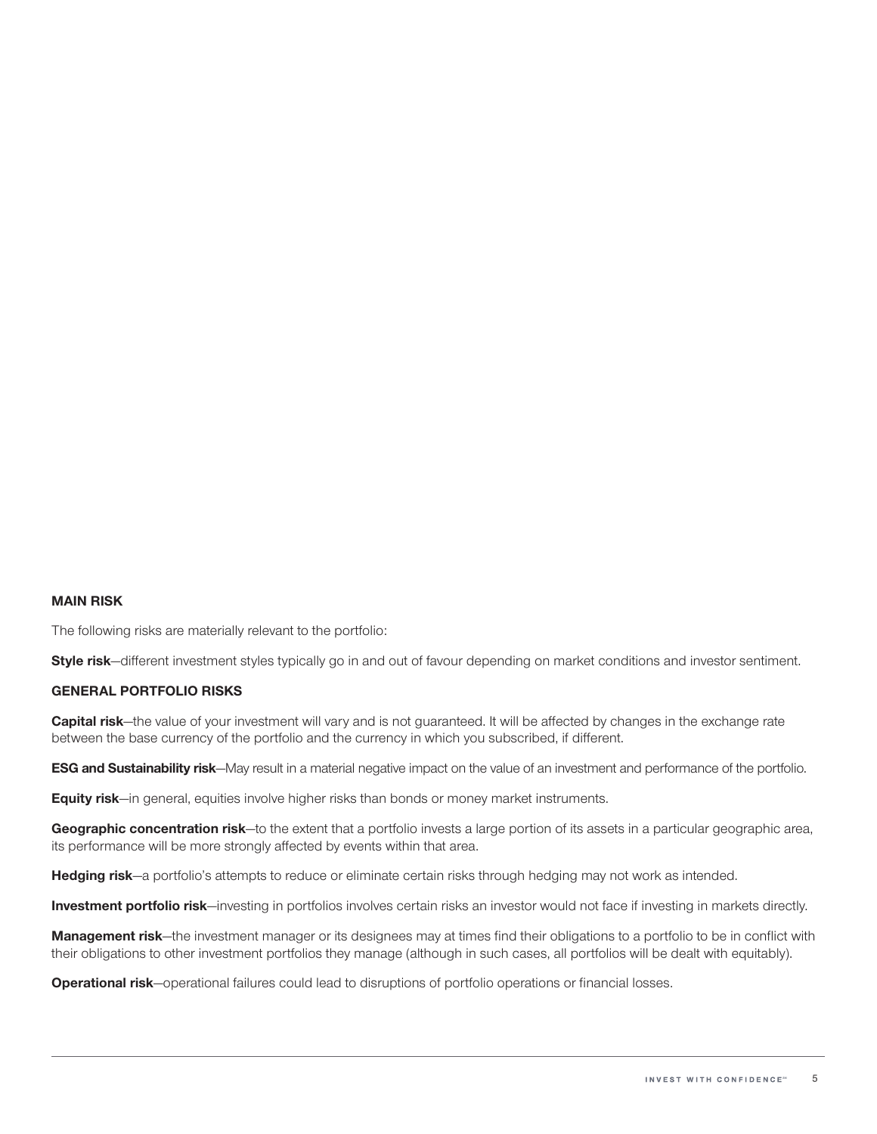#### **MAIN RISK**

The following risks are materially relevant to the portfolio:

**Style risk**—different investment styles typically go in and out of favour depending on market conditions and investor sentiment.

#### **GENERAL PORTFOLIO RISKS**

**Capital risk**—the value of your investment will vary and is not guaranteed. It will be affected by changes in the exchange rate between the base currency of the portfolio and the currency in which you subscribed, if different.

**ESG and Sustainability risk**—May result in a material negative impact on the value of an investment and performance of the portfolio.

**Equity risk**—in general, equities involve higher risks than bonds or money market instruments.

**Geographic concentration risk**—to the extent that a portfolio invests a large portion of its assets in a particular geographic area, its performance will be more strongly affected by events within that area.

**Hedging risk**—a portfolio's attempts to reduce or eliminate certain risks through hedging may not work as intended.

**Investment portfolio risk**—investing in portfolios involves certain risks an investor would not face if investing in markets directly.

**Management risk**—the investment manager or its designees may at times find their obligations to a portfolio to be in conflict with their obligations to other investment portfolios they manage (although in such cases, all portfolios will be dealt with equitably).

**Operational risk**—operational failures could lead to disruptions of portfolio operations or financial losses.